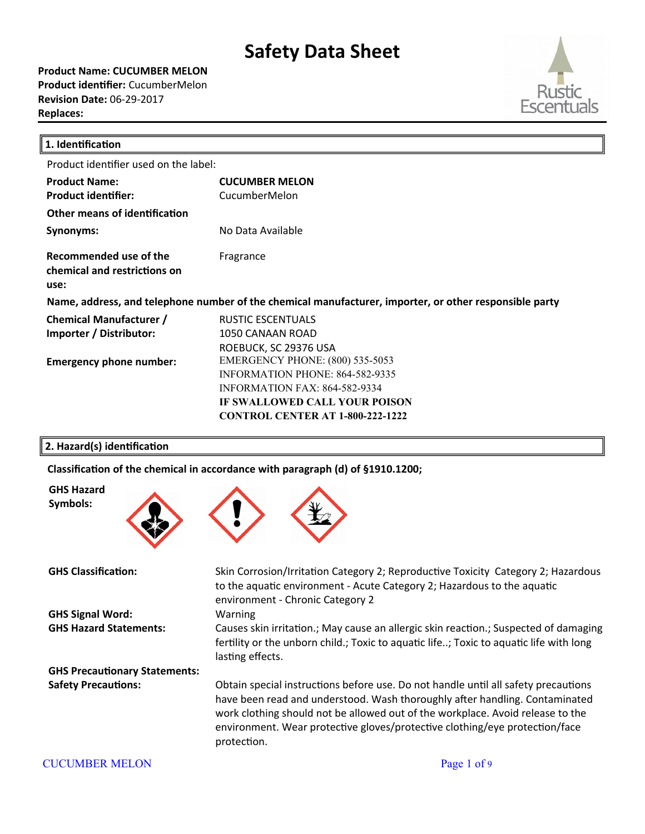**Product Name: CUCUMBER MELON Product identifier:** CucumberMelon **Revision Date:** 06-29-2017 **Replaces:** 



| 1. Identification                                              |                                                                                                                                                                                                             |
|----------------------------------------------------------------|-------------------------------------------------------------------------------------------------------------------------------------------------------------------------------------------------------------|
| Product identifier used on the label:                          |                                                                                                                                                                                                             |
| <b>Product Name:</b><br><b>Product identifier:</b>             | <b>CUCUMBER MELON</b><br>CucumberMelon                                                                                                                                                                      |
| Other means of identification                                  |                                                                                                                                                                                                             |
| Synonyms:                                                      | No Data Available                                                                                                                                                                                           |
| Recommended use of the<br>chemical and restrictions on<br>use: | Fragrance                                                                                                                                                                                                   |
|                                                                | Name, address, and telephone number of the chemical manufacturer, importer, or other responsible party                                                                                                      |
| <b>Chemical Manufacturer /</b><br>Importer / Distributor:      | <b>RUSTIC ESCENTUALS</b><br>1050 CANAAN ROAD<br>ROEBUCK, SC 29376 USA                                                                                                                                       |
| <b>Emergency phone number:</b>                                 | <b>EMERGENCY PHONE: (800) 535-5053</b><br><b>INFORMATION PHONE: 864-582-9335</b><br><b>INFORMATION FAX: 864-582-9334</b><br><b>IF SWALLOWED CALL YOUR POISON</b><br><b>CONTROL CENTER AT 1-800-222-1222</b> |

### **2. Hazard(s) identification**

**GHS Hazard Symbols:**

Classification of the chemical in accordance with paragraph (d) of §1910.1200;



**GHS Classification:** Skin Corrosion/Irritaton Category 2; Reproductve Toxicity Category 2; Hazardous to the aquatic environment - Acute Category 2; Hazardous to the aquatic environment - Chronic Category 2 **GHS Signal Word:** Warning **GHS Hazard Statements:** Causes skin irritaton.; May cause an allergic skin reacton.; Suspected of damaging fertility or the unborn child.; Toxic to aquatic life..; Toxic to aquatic life with long lasting effects. **GHS Precautionary Statements:** Safety Precautions: Obtain special instructions before use. Do not handle until all safety precautions have been read and understood. Wash thoroughly after handling. Contaminated work clothing should not be allowed out of the workplace. Avoid release to the environment. Wear protective gloves/protective clothing/eye protection/face protection.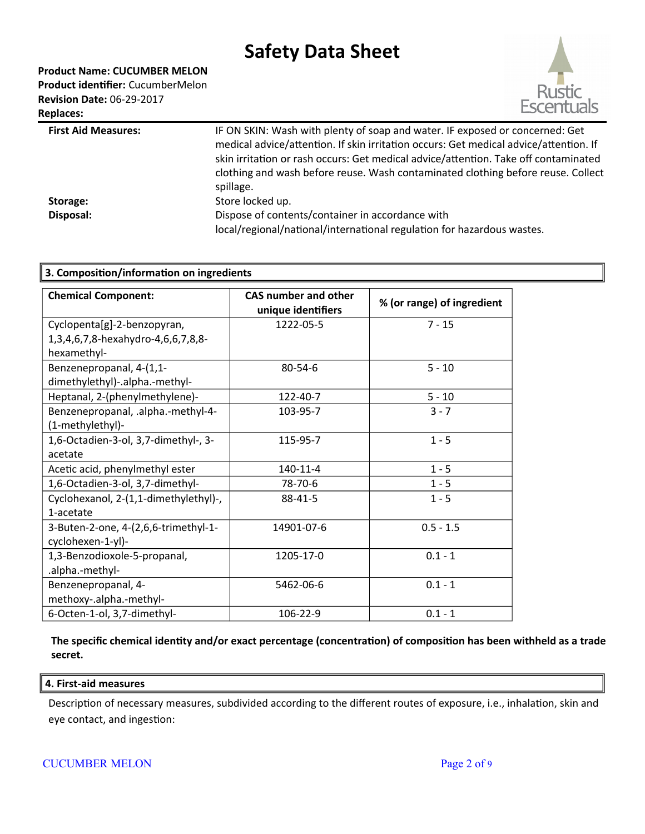**Product Name: CUCUMBER MELON Product identifier:** CucumberMelon **Revision Date:** 06-29-2017 **Replaces:** 



| <b>First Aid Measures:</b> | IF ON SKIN: Wash with plenty of soap and water. IF exposed or concerned: Get<br>medical advice/attention. If skin irritation occurs: Get medical advice/attention. If<br>skin irritation or rash occurs: Get medical advice/attention. Take off contaminated<br>clothing and wash before reuse. Wash contaminated clothing before reuse. Collect<br>spillage. |
|----------------------------|---------------------------------------------------------------------------------------------------------------------------------------------------------------------------------------------------------------------------------------------------------------------------------------------------------------------------------------------------------------|
| Storage:                   | Store locked up.                                                                                                                                                                                                                                                                                                                                              |
| Disposal:                  | Dispose of contents/container in accordance with<br>local/regional/national/international regulation for hazardous wastes.                                                                                                                                                                                                                                    |
|                            |                                                                                                                                                                                                                                                                                                                                                               |

| 3. Composition/information on ingredients |                                                   |                            |  |
|-------------------------------------------|---------------------------------------------------|----------------------------|--|
| <b>Chemical Component:</b>                | <b>CAS number and other</b><br>unique identifiers | % (or range) of ingredient |  |
| Cyclopenta[g]-2-benzopyran,               | 1222-05-5                                         | $7 - 15$                   |  |
| 1,3,4,6,7,8-hexahydro-4,6,6,7,8,8-        |                                                   |                            |  |
| hexamethyl-                               |                                                   |                            |  |
| Benzenepropanal, 4-(1,1-                  | $80 - 54 - 6$                                     | $5 - 10$                   |  |
| dimethylethyl)-.alpha.-methyl-            |                                                   |                            |  |
| Heptanal, 2-(phenylmethylene)-            | 122-40-7                                          | $5 - 10$                   |  |
| Benzenepropanal, .alpha.-methyl-4-        | 103-95-7                                          | $3 - 7$                    |  |
| (1-methylethyl)-                          |                                                   |                            |  |
| 1,6-Octadien-3-ol, 3,7-dimethyl-, 3-      | 115-95-7                                          | $1 - 5$                    |  |
| acetate                                   |                                                   |                            |  |
| Acetic acid, phenylmethyl ester           | 140-11-4                                          | $1 - 5$                    |  |
| 1,6-Octadien-3-ol, 3,7-dimethyl-          | 78-70-6                                           | $1 - 5$                    |  |
| Cyclohexanol, 2-(1,1-dimethylethyl)-,     | 88-41-5                                           | $1 - 5$                    |  |
| 1-acetate                                 |                                                   |                            |  |
| 3-Buten-2-one, 4-(2,6,6-trimethyl-1-      | 14901-07-6                                        | $0.5 - 1.5$                |  |
| cyclohexen-1-yl)-                         |                                                   |                            |  |
| 1,3-Benzodioxole-5-propanal,              | 1205-17-0                                         | $0.1 - 1$                  |  |
| .alpha.-methyl-                           |                                                   |                            |  |
| Benzenepropanal, 4-                       | 5462-06-6                                         | $0.1 - 1$                  |  |
| methoxy-.alpha.-methyl-                   |                                                   |                            |  |
| 6-Octen-1-ol, 3,7-dimethyl-               | 106-22-9                                          | $0.1 - 1$                  |  |

**The specific chemical identity and/or exact percentage (concentration) of composition has been withheld as a trade secret.**

#### **4. First-aid measures**

Description of necessary measures, subdivided according to the different routes of exposure, i.e., inhalation, skin and eye contact, and ingestion:

### CUCUMBER MELON Page 2 of 9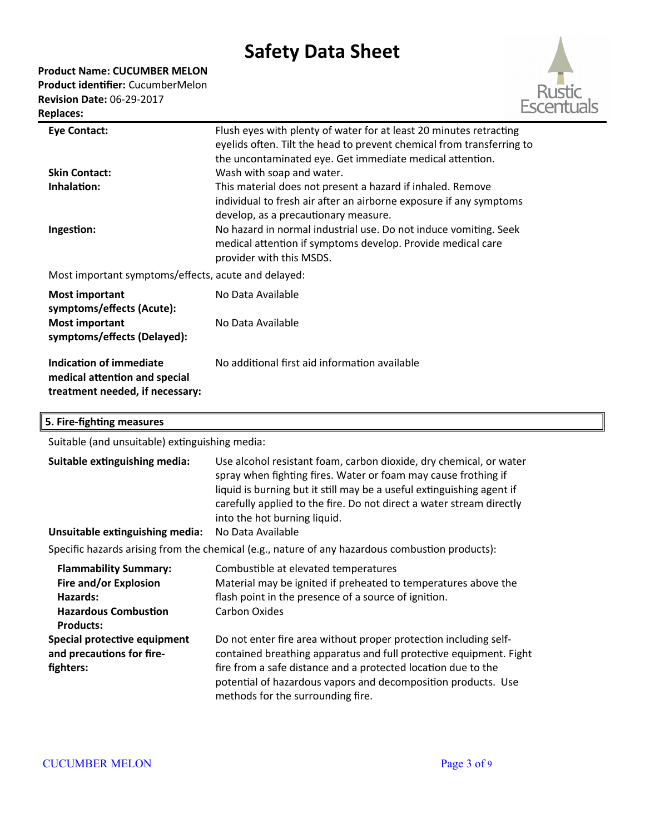**Product Name: CUCUMBER MELON**

**Product identifier:** CucumberMelon **Revision Date:** 06-29-2017 **Replaces:** 



| <b>Eye Contact:</b>                                                                         | Flush eyes with plenty of water for at least 20 minutes retracting                                                                                          |
|---------------------------------------------------------------------------------------------|-------------------------------------------------------------------------------------------------------------------------------------------------------------|
|                                                                                             | eyelids often. Tilt the head to prevent chemical from transferring to<br>the uncontaminated eye. Get immediate medical attention.                           |
| <b>Skin Contact:</b>                                                                        | Wash with soap and water.                                                                                                                                   |
| Inhalation:                                                                                 | This material does not present a hazard if inhaled. Remove                                                                                                  |
|                                                                                             | individual to fresh air after an airborne exposure if any symptoms<br>develop, as a precautionary measure.                                                  |
| Ingestion:                                                                                  | No hazard in normal industrial use. Do not induce vomiting. Seek<br>medical attention if symptoms develop. Provide medical care<br>provider with this MSDS. |
| Most important symptoms/effects, acute and delayed:                                         |                                                                                                                                                             |
| <b>Most important</b>                                                                       | No Data Available                                                                                                                                           |
| symptoms/effects (Acute):<br><b>Most important</b><br>symptoms/effects (Delayed):           | No Data Available                                                                                                                                           |
| Indication of immediate<br>medical attention and special<br>treatment needed, if necessary: | No additional first aid information available                                                                                                               |

## **5. Fire-fighting measures**

Suitable (and unsuitable) extinguishing media:

| Suitable extinguishing media:<br>Unsuitable extinguishing media:                                | Use alcohol resistant foam, carbon dioxide, dry chemical, or water<br>spray when fighting fires. Water or foam may cause frothing if<br>liquid is burning but it still may be a useful extinguishing agent if<br>carefully applied to the fire. Do not direct a water stream directly<br>into the hot burning liquid.<br>No Data Available |  |
|-------------------------------------------------------------------------------------------------|--------------------------------------------------------------------------------------------------------------------------------------------------------------------------------------------------------------------------------------------------------------------------------------------------------------------------------------------|--|
| Specific hazards arising from the chemical (e.g., nature of any hazardous combustion products): |                                                                                                                                                                                                                                                                                                                                            |  |
|                                                                                                 |                                                                                                                                                                                                                                                                                                                                            |  |
| <b>Flammability Summary:</b>                                                                    | Combustible at elevated temperatures                                                                                                                                                                                                                                                                                                       |  |
| Fire and/or Explosion                                                                           | Material may be ignited if preheated to temperatures above the                                                                                                                                                                                                                                                                             |  |
| Hazards:                                                                                        | flash point in the presence of a source of ignition.                                                                                                                                                                                                                                                                                       |  |
| <b>Hazardous Combustion</b>                                                                     | Carbon Oxides                                                                                                                                                                                                                                                                                                                              |  |
| <b>Products:</b>                                                                                |                                                                                                                                                                                                                                                                                                                                            |  |
| Special protective equipment                                                                    | Do not enter fire area without proper protection including self-                                                                                                                                                                                                                                                                           |  |
| and precautions for fire-                                                                       | contained breathing apparatus and full protective equipment. Fight                                                                                                                                                                                                                                                                         |  |
| fighters:                                                                                       | fire from a safe distance and a protected location due to the<br>potential of hazardous vapors and decomposition products. Use<br>methods for the surrounding fire.                                                                                                                                                                        |  |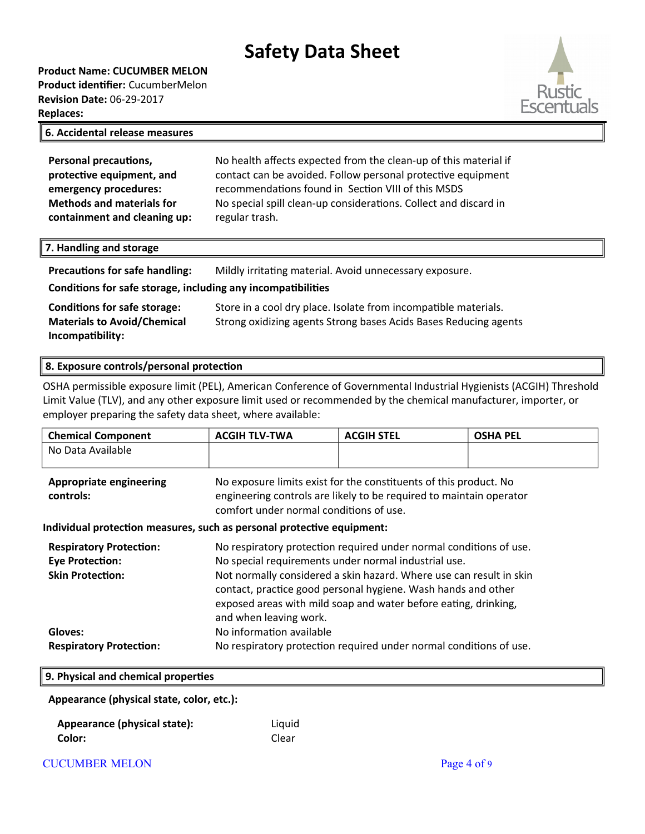**Product Name: CUCUMBER MELON Product identifier:** CucumberMelon **Revision Date:** 06-29-2017 **Replaces:** 



#### **6. Accidental release measures**

| <b>Personal precautions,</b>     | No health affects expected from the clean-up of this material if |
|----------------------------------|------------------------------------------------------------------|
| protective equipment, and        | contact can be avoided. Follow personal protective equipment     |
| emergency procedures:            | recommendations found in Section VIII of this MSDS               |
| <b>Methods and materials for</b> | No special spill clean-up considerations. Collect and discard in |
| containment and cleaning up:     | regular trash.                                                   |

#### **7. Handling and storage**

| <b>Precautions for safe handling:</b>                        | Mildly irritating material. Avoid unnecessary exposure. |  |  |
|--------------------------------------------------------------|---------------------------------------------------------|--|--|
| Conditions for safe storage, including any incompatibilities |                                                         |  |  |

**Conditions for safe storage:** Store in a cool dry place. Isolate from incompatible materials. **Materials to Avoid/Chemical Incompatibility:** Strong oxidizing agents Strong bases Acids Bases Reducing agents

### **8. Exposure controls/personal protection**

OSHA permissible exposure limit (PEL), American Conference of Governmental Industrial Hygienists (ACGIH) Threshold Limit Value (TLV), and any other exposure limit used or recommended by the chemical manufacturer, importer, or employer preparing the safety data sheet, where available:

| <b>Chemical Component</b>                                                           | <b>ACGIH TLV-TWA</b>                                                                                                                                                                                                                                                                                                                                            | <b>ACGIH STEL</b> | <b>OSHA PEL</b> |
|-------------------------------------------------------------------------------------|-----------------------------------------------------------------------------------------------------------------------------------------------------------------------------------------------------------------------------------------------------------------------------------------------------------------------------------------------------------------|-------------------|-----------------|
| No Data Available                                                                   |                                                                                                                                                                                                                                                                                                                                                                 |                   |                 |
| <b>Appropriate engineering</b><br>controls:                                         | No exposure limits exist for the constituents of this product. No<br>engineering controls are likely to be required to maintain operator<br>comfort under normal conditions of use.                                                                                                                                                                             |                   |                 |
| Individual protection measures, such as personal protective equipment:              |                                                                                                                                                                                                                                                                                                                                                                 |                   |                 |
| <b>Respiratory Protection:</b><br><b>Eye Protection:</b><br><b>Skin Protection:</b> | No respiratory protection required under normal conditions of use.<br>No special requirements under normal industrial use.<br>Not normally considered a skin hazard. Where use can result in skin<br>contact, practice good personal hygiene. Wash hands and other<br>exposed areas with mild soap and water before eating, drinking,<br>and when leaving work. |                   |                 |
| Gloves:                                                                             | No information available                                                                                                                                                                                                                                                                                                                                        |                   |                 |
| <b>Respiratory Protection:</b>                                                      | No respiratory protection required under normal conditions of use.                                                                                                                                                                                                                                                                                              |                   |                 |
| 9. Physical and chemical properties                                                 |                                                                                                                                                                                                                                                                                                                                                                 |                   |                 |

**Appearance (physical state, color, etc.):**

**Appearance (physical state):** Liquid **Color:** Clear

CUCUMBER MELON **Page 4 of 9**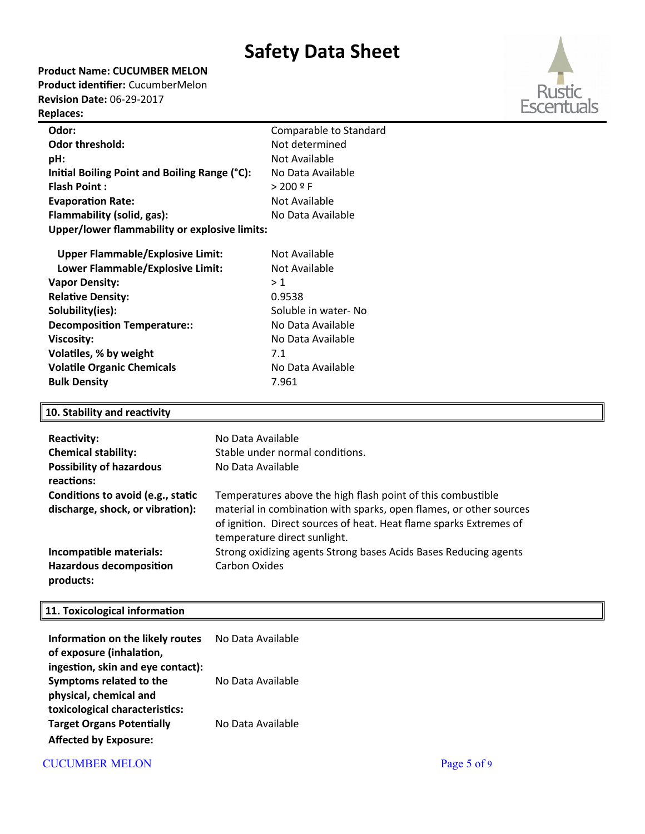**Product Name: CUCUMBER MELON**

**Product identifier:** CucumberMelon **Revision Date:** 06-29-2017

## **Replaces:**



| Odor:                                         | Comparable to Standard |
|-----------------------------------------------|------------------------|
| <b>Odor threshold:</b>                        | Not determined         |
| pH:                                           | Not Available          |
| Initial Boiling Point and Boiling Range (°C): | No Data Available      |
| <b>Flash Point:</b>                           | $> 200$ º F            |
| <b>Evaporation Rate:</b>                      | Not Available          |
| Flammability (solid, gas):                    | No Data Available      |
| Upper/lower flammability or explosive limits: |                        |
|                                               |                        |

| <b>Upper Flammable/Explosive Limit:</b> | Not Available        |
|-----------------------------------------|----------------------|
| Lower Flammable/Explosive Limit:        | Not Available        |
| <b>Vapor Density:</b>                   | >1                   |
| <b>Relative Density:</b>                | 0.9538               |
| Solubility(ies):                        | Soluble in water- No |
| <b>Decomposition Temperature::</b>      | No Data Available    |
| <b>Viscosity:</b>                       | No Data Available    |
| Volatiles, % by weight                  | 7.1                  |
| <b>Volatile Organic Chemicals</b>       | No Data Available    |
| <b>Bulk Density</b>                     | 7.961                |
|                                         |                      |

## **10. Stability and reactivity**

| <b>Reactivity:</b><br><b>Chemical stability:</b><br><b>Possibility of hazardous</b><br>reactions: | No Data Available<br>Stable under normal conditions.<br>No Data Available                                                                                                                                                               |
|---------------------------------------------------------------------------------------------------|-----------------------------------------------------------------------------------------------------------------------------------------------------------------------------------------------------------------------------------------|
| Conditions to avoid (e.g., static<br>discharge, shock, or vibration):                             | Temperatures above the high flash point of this combustible<br>material in combination with sparks, open flames, or other sources<br>of ignition. Direct sources of heat. Heat flame sparks Extremes of<br>temperature direct sunlight. |
| Incompatible materials:<br><b>Hazardous decomposition</b>                                         | Strong oxidizing agents Strong bases Acids Bases Reducing agents<br>Carbon Oxides                                                                                                                                                       |
| products:                                                                                         |                                                                                                                                                                                                                                         |

## **11. Toxicological information**

| Information on the likely routes<br>of exposure (inhalation, | No Data Available |
|--------------------------------------------------------------|-------------------|
| ingestion, skin and eye contact):                            |                   |
| Symptoms related to the                                      | No Data Available |
| physical, chemical and                                       |                   |
| toxicological characteristics:                               |                   |
| <b>Target Organs Potentially</b>                             | No Data Available |
| <b>Affected by Exposure:</b>                                 |                   |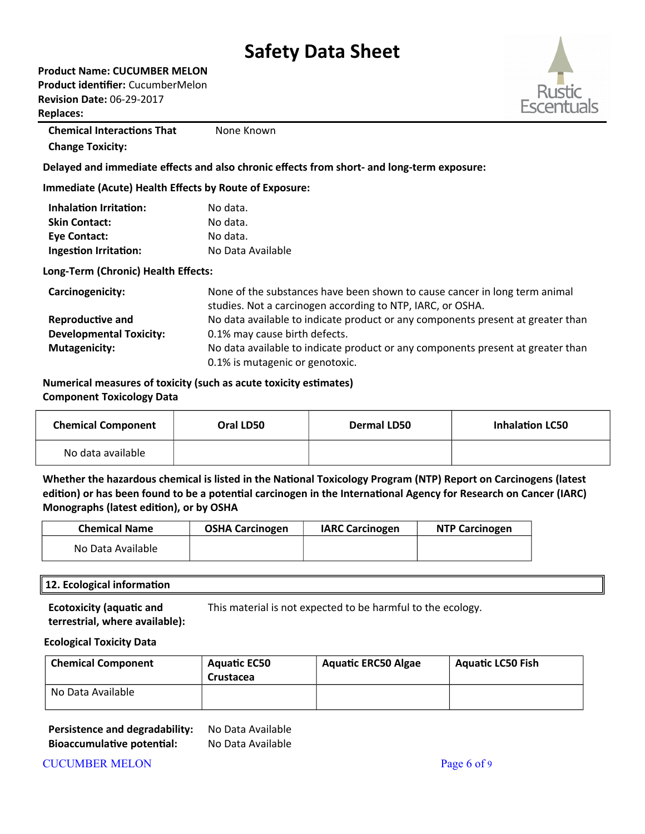**Product Name: CUCUMBER MELON Product identifier:** CucumberMelon

**Revision Date:** 06-29-2017

**Replaces:** 

**Chemical Interactions That Change Toxicity:** None Known

**Delayed and immediate effects and also chronic effects from short- and long-term exposure:**

**Immediate (Acute) Health Effects by Route of Exposure:**

| <b>Inhalation Irritation:</b> | No data.          |
|-------------------------------|-------------------|
| <b>Skin Contact:</b>          | No data.          |
| Eye Contact:                  | No data.          |
| Ingestion Irritation:         | No Data Available |

### **Long-Term (Chronic) Health Effects:**

| Carcinogenicity:               | None of the substances have been shown to cause cancer in long term animal<br>studies. Not a carcinogen according to NTP, IARC, or OSHA. |
|--------------------------------|------------------------------------------------------------------------------------------------------------------------------------------|
| <b>Reproductive and</b>        | No data available to indicate product or any components present at greater than                                                          |
| <b>Developmental Toxicity:</b> | 0.1% may cause birth defects.                                                                                                            |
| <b>Mutagenicity:</b>           | No data available to indicate product or any components present at greater than                                                          |
|                                | 0.1% is mutagenic or genotoxic.                                                                                                          |

**Numerical measures of toxicity (such as acute toxicity estimates) Component Toxicology Data**

| <b>Chemical Component</b> | Oral LD50 | <b>Dermal LD50</b> | <b>Inhalation LC50</b> |
|---------------------------|-----------|--------------------|------------------------|
| No data available         |           |                    |                        |

**Whether the hazardous chemical is listed in the National Toxicology Program (NTP) Report on Carcinogens (latest edition) or has been found to be a potential carcinogen in the International Agency for Research on Cancer (IARC) Monographs (latest edition), or by OSHA**

| <b>Chemical Name</b> | <b>OSHA Carcinogen</b> | <b>IARC Carcinogen</b> | <b>NTP Carcinogen</b> |
|----------------------|------------------------|------------------------|-----------------------|
| No Data Available    |                        |                        |                       |

### **12. Ecological information**

**Ecotoxicity (aquatic and terrestrial, where available):** This material is not expected to be harmful to the ecology.

#### **Ecological Toxicity Data**

| <b>Chemical Component</b> | <b>Aguatic EC50</b><br>Crustacea | <b>Aquatic ERC50 Algae</b> | <b>Aquatic LC50 Fish</b> |
|---------------------------|----------------------------------|----------------------------|--------------------------|
| No Data Available         |                                  |                            |                          |

### **Persistence and degradability:** No Data Available **Bioaccumulative potential:** No Data Available

CUCUMBER MELON **Page 6 of 9**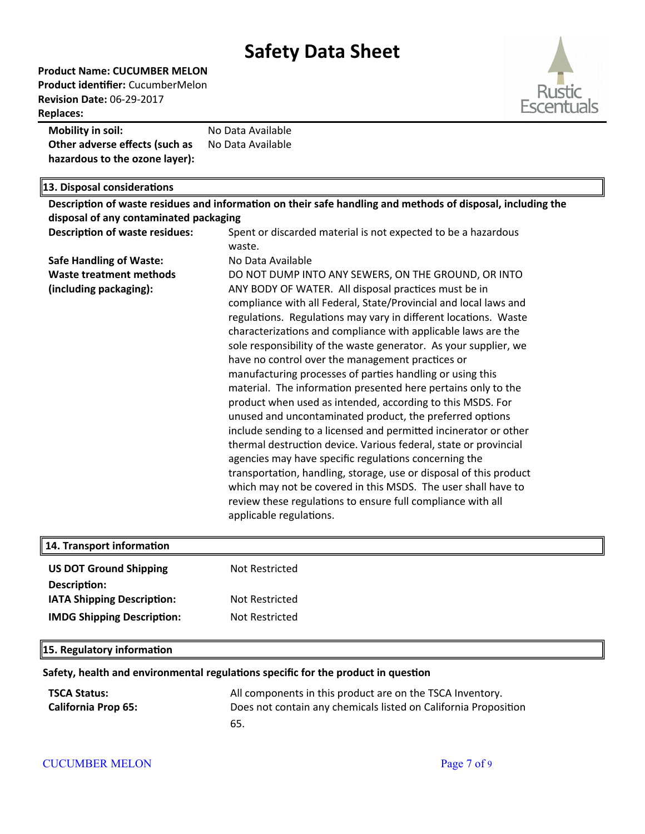**Product Name: CUCUMBER MELON Product identifier:** CucumberMelon **Revision Date:** 06-29-2017 **Replaces:** 



| <b>Mobility in soil:</b>       | No Data Available |
|--------------------------------|-------------------|
| Other adverse effects (such as | No Data Available |
| hazardous to the ozone layer): |                   |

| 13. Disposal considerations            |                                                                                                             |  |  |  |
|----------------------------------------|-------------------------------------------------------------------------------------------------------------|--|--|--|
|                                        | Description of waste residues and information on their safe handling and methods of disposal, including the |  |  |  |
| disposal of any contaminated packaging |                                                                                                             |  |  |  |
| <b>Description of waste residues:</b>  | Spent or discarded material is not expected to be a hazardous                                               |  |  |  |
|                                        | waste.                                                                                                      |  |  |  |
| <b>Safe Handling of Waste:</b>         | No Data Available                                                                                           |  |  |  |
| <b>Waste treatment methods</b>         | DO NOT DUMP INTO ANY SEWERS, ON THE GROUND, OR INTO                                                         |  |  |  |
| (including packaging):                 | ANY BODY OF WATER. All disposal practices must be in                                                        |  |  |  |
|                                        | compliance with all Federal, State/Provincial and local laws and                                            |  |  |  |
|                                        | regulations. Regulations may vary in different locations. Waste                                             |  |  |  |
|                                        | characterizations and compliance with applicable laws are the                                               |  |  |  |
|                                        | sole responsibility of the waste generator. As your supplier, we                                            |  |  |  |
|                                        | have no control over the management practices or                                                            |  |  |  |
|                                        | manufacturing processes of parties handling or using this                                                   |  |  |  |
|                                        | material. The information presented here pertains only to the                                               |  |  |  |
|                                        | product when used as intended, according to this MSDS. For                                                  |  |  |  |
|                                        | unused and uncontaminated product, the preferred options                                                    |  |  |  |
|                                        | include sending to a licensed and permitted incinerator or other                                            |  |  |  |
|                                        | thermal destruction device. Various federal, state or provincial                                            |  |  |  |
|                                        | agencies may have specific regulations concerning the                                                       |  |  |  |
|                                        | transportation, handling, storage, use or disposal of this product                                          |  |  |  |
|                                        | which may not be covered in this MSDS. The user shall have to                                               |  |  |  |
|                                        | review these regulations to ensure full compliance with all                                                 |  |  |  |
|                                        | applicable regulations.                                                                                     |  |  |  |
|                                        |                                                                                                             |  |  |  |

| 14. Transport information         |                |
|-----------------------------------|----------------|
| <b>US DOT Ground Shipping</b>     | Not Restricted |
| Description:                      |                |
| <b>IATA Shipping Description:</b> | Not Restricted |
| <b>IMDG Shipping Description:</b> | Not Restricted |
|                                   |                |

### **15. Regulatory information**

### **Safety, health and environmental regulations specific for the product in question**

| <b>TSCA Status:</b>        | All components in this product are on the TSCA Inventory.       |
|----------------------------|-----------------------------------------------------------------|
| <b>California Prop 65:</b> | Does not contain any chemicals listed on California Proposition |
|                            | 65.                                                             |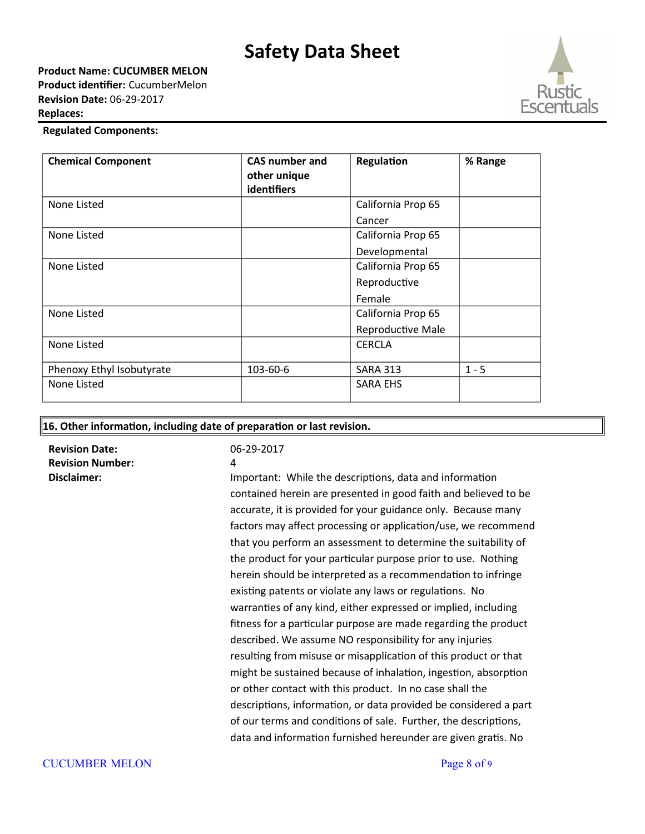**Product Name: CUCUMBER MELON Product identifier:** CucumberMelon **Revision Date:** 06-29-2017 **Replaces:** 



### **Regulated Components:**

| <b>Chemical Component</b> | <b>CAS number and</b><br>other unique<br>identifiers | Regulation         | % Range |
|---------------------------|------------------------------------------------------|--------------------|---------|
| None Listed               |                                                      | California Prop 65 |         |
|                           |                                                      | Cancer             |         |
| None Listed               |                                                      | California Prop 65 |         |
|                           |                                                      | Developmental      |         |
| None Listed               |                                                      | California Prop 65 |         |
|                           |                                                      | Reproductive       |         |
|                           |                                                      | Female             |         |
| None Listed               |                                                      | California Prop 65 |         |
|                           |                                                      | Reproductive Male  |         |
| None Listed               |                                                      | <b>CERCLA</b>      |         |
| Phenoxy Ethyl Isobutyrate | 103-60-6                                             | <b>SARA 313</b>    | $1 - 5$ |
| None Listed               |                                                      | <b>SARA EHS</b>    |         |

**16. Other information, including date of preparation or last revision.**

**Revision Date:** 06-29-2017 **Revision Number:** 4

**Disclaimer: Important: While the descriptions, data and information** contained herein are presented in good faith and believed to be accurate, it is provided for your guidance only. Because many factors may affect processing or application/use, we recommend that you perform an assessment to determine the suitability of the product for your particular purpose prior to use. Nothing herein should be interpreted as a recommendation to infringe existing patents or violate any laws or regulations. No warranties of any kind, either expressed or implied, including fitness for a particular purpose are made regarding the product described. We assume NO responsibility for any injuries resulting from misuse or misapplication of this product or that might be sustained because of inhalation, ingestion, absorption or other contact with this product. In no case shall the descriptions, information, or data provided be considered a part of our terms and conditions of sale. Further, the descriptions, data and information furnished hereunder are given gratis. No